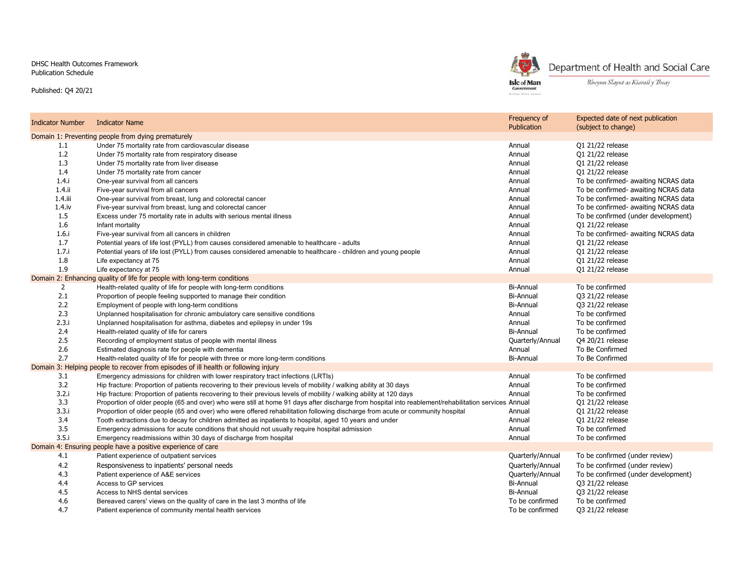DHSC Health Outcomes FrameworkPublication Schedule

Published: Q4 20/21



Department of Health and Social Care

Rheynn Slaynt as Kiarail y Theay

| Indicator Number                                                                    | <b>Indicator Name</b>                                                                                                                                | Frequency of<br>Publication | Expected date of next publication<br>(subject to change) |  |  |
|-------------------------------------------------------------------------------------|------------------------------------------------------------------------------------------------------------------------------------------------------|-----------------------------|----------------------------------------------------------|--|--|
| Domain 1: Preventing people from dying prematurely                                  |                                                                                                                                                      |                             |                                                          |  |  |
| 1.1                                                                                 | Under 75 mortality rate from cardiovascular disease                                                                                                  | Annual                      | 01 21/22 release                                         |  |  |
| 1.2                                                                                 | Under 75 mortality rate from respiratory disease                                                                                                     | Annual                      | 01 21/22 release                                         |  |  |
| 1.3                                                                                 | Under 75 mortality rate from liver disease                                                                                                           | Annual                      | 01 21/22 release                                         |  |  |
| 1.4                                                                                 | Under 75 mortality rate from cancer                                                                                                                  | Annual                      | 01 21/22 release                                         |  |  |
| 1.4.1                                                                               | One-year survival from all cancers                                                                                                                   | Annual                      | To be confirmed- awaiting NCRAS data                     |  |  |
| $1.4$ .ii                                                                           | Five-year survival from all cancers                                                                                                                  | Annual                      | To be confirmed- awaiting NCRAS data                     |  |  |
| $1.4$ .iii                                                                          | One-year survival from breast, lung and colorectal cancer                                                                                            | Annual                      | To be confirmed- awaiting NCRAS data                     |  |  |
| $1.4.$ iv                                                                           | Five-year survival from breast, lung and colorectal cancer                                                                                           | Annual                      | To be confirmed- awaiting NCRAS data                     |  |  |
| 1.5                                                                                 | Excess under 75 mortality rate in adults with serious mental illness                                                                                 | Annual                      | To be confirmed (under development)                      |  |  |
| 1.6                                                                                 | Infant mortality                                                                                                                                     | Annual                      | 01 21/22 release                                         |  |  |
| 1.6.i                                                                               | Five-year survival from all cancers in children                                                                                                      | Annual                      | To be confirmed- awaiting NCRAS data                     |  |  |
| 1.7                                                                                 | Potential years of life lost (PYLL) from causes considered amenable to healthcare - adults                                                           | Annual                      | Q1 21/22 release                                         |  |  |
| 1.7.1                                                                               | Potential years of life lost (PYLL) from causes considered amenable to healthcare - children and young people                                        | Annual                      | Q1 21/22 release                                         |  |  |
| 1.8                                                                                 | Life expectancy at 75                                                                                                                                | Annual                      | 01 21/22 release                                         |  |  |
| 1.9                                                                                 | Life expectancy at 75                                                                                                                                | Annual                      | 01 21/22 release                                         |  |  |
|                                                                                     | Domain 2: Enhancing quality of life for people with long-term conditions                                                                             |                             |                                                          |  |  |
| $\overline{2}$                                                                      | Health-related quality of life for people with long-term conditions                                                                                  | <b>Bi-Annual</b>            | To be confirmed                                          |  |  |
| 2.1                                                                                 | Proportion of people feeling supported to manage their condition                                                                                     | Bi-Annual                   | Q3 21/22 release                                         |  |  |
| 2.2                                                                                 | Employment of people with long-term conditions                                                                                                       | <b>Bi-Annual</b>            | Q3 21/22 release                                         |  |  |
| 2.3                                                                                 | Unplanned hospitalisation for chronic ambulatory care sensitive conditions                                                                           | Annual                      | To be confirmed                                          |  |  |
| 2.3.i                                                                               | Unplanned hospitalisation for asthma, diabetes and epilepsy in under 19s                                                                             | Annual                      | To be confirmed                                          |  |  |
| 2.4                                                                                 | Health-related quality of life for carers                                                                                                            | Bi-Annual                   | To be confirmed                                          |  |  |
| 2.5                                                                                 | Recording of employment status of people with mental illness                                                                                         | Quarterly/Annual            | Q4 20/21 release                                         |  |  |
| 2.6                                                                                 | Estimated diagnosis rate for people with dementia                                                                                                    | Annual                      | To Be Confirmed                                          |  |  |
| 2.7                                                                                 | Health-related quality of life for people with three or more long-term conditions                                                                    | Bi-Annual                   | To Be Confirmed                                          |  |  |
| Domain 3: Helping people to recover from episodes of ill health or following injury |                                                                                                                                                      |                             |                                                          |  |  |
| 3.1                                                                                 | Emergency admissions for children with lower respiratory tract infections (LRTIs)                                                                    | Annual                      | To be confirmed                                          |  |  |
| 3.2                                                                                 | Hip fracture: Proportion of patients recovering to their previous levels of mobility / walking ability at 30 days                                    | Annual                      | To be confirmed                                          |  |  |
| 3.2.i                                                                               | Hip fracture: Proportion of patients recovering to their previous levels of mobility / walking ability at 120 days                                   | Annual                      | To be confirmed                                          |  |  |
| 3.3                                                                                 | Proportion of older people (65 and over) who were still at home 91 days after discharge from hospital into reablement/rehabilitation services Annual |                             | 01 21/22 release                                         |  |  |
| 3.3.i                                                                               | Proportion of older people (65 and over) who were offered rehabilitation following discharge from acute or community hospital                        | Annual                      | Q1 21/22 release                                         |  |  |
| 3.4                                                                                 | Tooth extractions due to decay for children admitted as inpatients to hospital, aged 10 years and under                                              | Annual                      | 01 21/22 release                                         |  |  |
| 3.5                                                                                 | Emergency admissions for acute conditions that should not usually require hospital admission                                                         | Annual                      | To be confirmed                                          |  |  |
| 3.5i                                                                                | Emergency readmissions within 30 days of discharge from hospital                                                                                     | Annual                      | To be confirmed                                          |  |  |
| Domain 4: Ensuring people have a positive experience of care                        |                                                                                                                                                      |                             |                                                          |  |  |
| 4.1                                                                                 | Patient experience of outpatient services                                                                                                            | Quarterly/Annual            | To be confirmed (under review)                           |  |  |
| 4.2                                                                                 | Responsiveness to inpatients' personal needs                                                                                                         | Quarterly/Annual            | To be confirmed (under review)                           |  |  |
| 4.3                                                                                 | Patient experience of A&E services                                                                                                                   | Quarterly/Annual            | To be confirmed (under development)                      |  |  |
| 4.4                                                                                 | Access to GP services                                                                                                                                | Bi-Annual                   | Q3 21/22 release                                         |  |  |
| 4.5                                                                                 | Access to NHS dental services                                                                                                                        | <b>Bi-Annual</b>            | Q3 21/22 release                                         |  |  |
| 4.6                                                                                 | Bereaved carers' views on the quality of care in the last 3 months of life                                                                           | To be confirmed             | To be confirmed                                          |  |  |
| 4.7                                                                                 | Patient experience of community mental health services                                                                                               | To be confirmed             | Q3 21/22 release                                         |  |  |